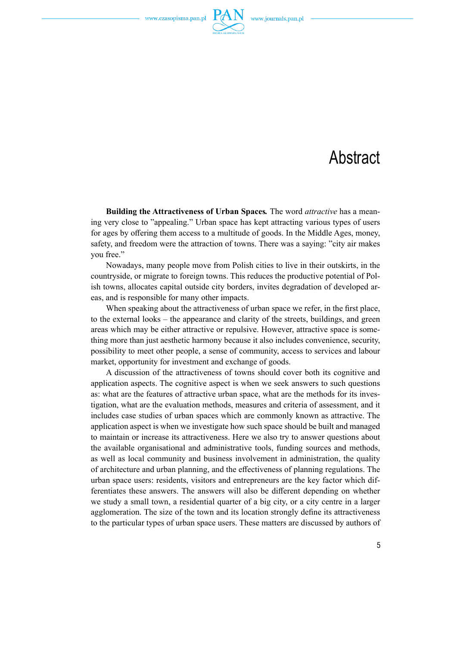

## **Abstract**

**Building the Attractiveness of Urban Spaces***.* The word *attractive* has a meaning very close to "appealing." Urban space has kept attracting various types of users for ages by offering them access to a multitude of goods. In the Middle Ages, money, safety, and freedom were the attraction of towns. There was a saying: "city air makes you free."

Nowadays, many people move from Polish cities to live in their outskirts, in the countryside, or migrate to foreign towns. This reduces the productive potential of Polish towns, allocates capital outside city borders, invites degradation of developed areas, and is responsible for many other impacts.

When speaking about the attractiveness of urban space we refer, in the first place, to the external looks – the appearance and clarity of the streets, buildings, and green areas which may be either attractive or repulsive. However, attractive space is something more than just aesthetic harmony because it also includes convenience, security, possibility to meet other people, a sense of community, access to services and labour market, opportunity for investment and exchange of goods.

A discussion of the attractiveness of towns should cover both its cognitive and application aspects. The cognitive aspect is when we seek answers to such questions as: what are the features of attractive urban space, what are the methods for its investigation, what are the evaluation methods, measures and criteria of assessment, and it includes case studies of urban spaces which are commonly known as attractive. The application aspect is when we investigate how such space should be built and managed to maintain or increase its attractiveness. Here we also try to answer questions about the available organisational and administrative tools, funding sources and methods, as well as local community and business involvement in administration, the quality of architecture and urban planning, and the effectiveness of planning regulations. The urban space users: residents, visitors and entrepreneurs are the key factor which differentiates these answers. The answers will also be different depending on whether we study a small town, a residential quarter of a big city, or a city centre in a larger agglomeration. The size of the town and its location strongly define its attractiveness to the particular types of urban space users. These matters are discussed by authors of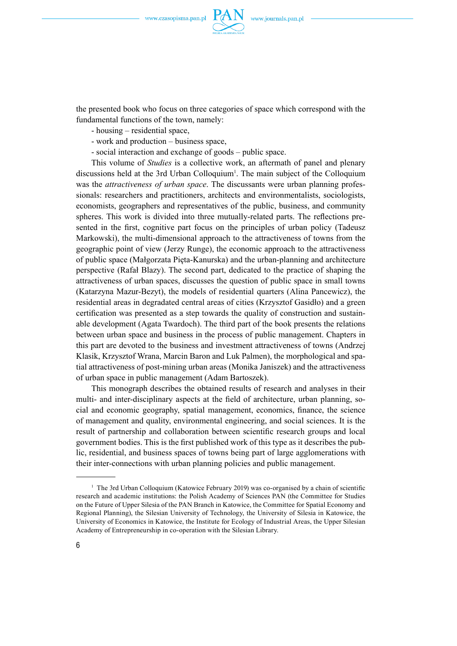

the presented book who focus on three categories of space which correspond with the fundamental functions of the town, namely:

- housing – residential space,

- work and production business space,
- social interaction and exchange of goods public space.

This volume of *Studies* is a collective work, an aftermath of panel and plenary discussions held at the 3rd Urban Colloquium<sup>1</sup>. The main subject of the Colloquium was the *attractiveness of urban space*. The discussants were urban planning professionals: researchers and practitioners, architects and environmentalists, sociologists, economists, geographers and representatives of the public, business, and community spheres. This work is divided into three mutually-related parts. The reflections presented in the first, cognitive part focus on the principles of urban policy (Tadeusz Markowski), the multi-dimensional approach to the attractiveness of towns from the geographic point of view (Jerzy Runge), the economic approach to the attractiveness of public space (Małgorzata Pięta-Kanurska) and the urban-planning and architecture perspective (Rafał Blazy). The second part, dedicated to the practice of shaping the attractiveness of urban spaces, discusses the question of public space in small towns (Katarzyna Mazur-Bezyt), the models of residential quarters (Alina Pancewicz), the residential areas in degradated central areas of cities (Krzysztof Gasidło) and a green certification was presented as a step towards the quality of construction and sustainable development (Agata Twardoch). The third part of the book presents the relations between urban space and business in the process of public management. Chapters in this part are devoted to the business and investment attractiveness of towns (Andrzej Klasik, Krzysztof Wrana, Marcin Baron and Luk Palmen), the morphological and spatial attractiveness of post-mining urban areas (Monika Janiszek) and the attractiveness of urban space in public management (Adam Bartoszek).

This monograph describes the obtained results of research and analyses in their multi- and inter-disciplinary aspects at the field of architecture, urban planning, social and economic geography, spatial management, economics, finance, the science of management and quality, environmental engineering, and social sciences. It is the result of partnership and collaboration between scientific research groups and local government bodies. This is the first published work of this type as it describes the public, residential, and business spaces of towns being part of large agglomerations with their inter-connections with urban planning policies and public management.

 $<sup>1</sup>$  The 3rd Urban Colloquium (Katowice February 2019) was co-organised by a chain of scientific</sup> research and academic institutions: the Polish Academy of Sciences PAN (the Committee for Studies on the Future of Upper Silesia of the PAN Branch in Katowice, the Committee for Spatial Economy and Regional Planning), the Silesian University of Technology, the University of Silesia in Katowice, the University of Economics in Katowice, the Institute for Ecology of Industrial Areas, the Upper Silesian Academy of Entrepreneurship in co-operation with the Silesian Library.